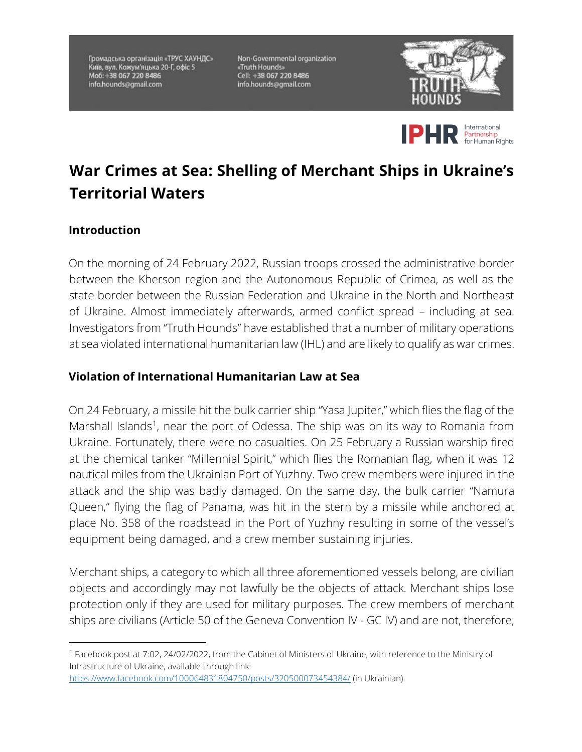Громадська організація «ТРУС ХАУНДС» Київ, вул. Кожум'яцька 20-Г, офіс 5 Mo6: +38 067 220 8486 info.hounds@gmail.com

Non-Governmental organization «Truth Hounds» Cell: +38 067 220 8486 info.hounds@gmail.com





## **War Crimes at Sea: Shelling of Merchant Ships in Ukraine's Territorial Waters**

## **Introduction**

On the morning of 24 February 2022, Russian troops crossed the administrative border between the Kherson region and the Autonomous Republic of Crimea, as well as the state border between the Russian Federation and Ukraine in the North and Northeast of Ukraine. Almost immediately afterwards, armed conflict spread – including at sea. Investigators from "Truth Hounds" have established that a number of military operations at sea violated international humanitarian law (IHL) and are likely to qualify as war crimes.

## **Violation of International Humanitarian Law at Sea**

On 24 February, a missile hit the bulk carrier ship "Yasa Jupiter," which flies the flag of the Marshall Islands<sup>1</sup>, near the port of Odessa. The ship was on its way to Romania from Ukraine. Fortunately, there were no casualties. On 25 February a Russian warship fired at the chemical tanker "Millennial Spirit," which flies the Romanian flag, when it was 12 nautical miles from the Ukrainian Port of Yuzhny. Two crew members were injured in the attack and the ship was badly damaged. On the same day, the bulk carrier "Namura Queen," flying the flag of Panama, was hit in the stern by a missile while anchored at place No. 358 of the roadstead in the Port of Yuzhny resulting in some of the vessel's equipment being damaged, and a crew member sustaining injuries.

Merchant ships, a category to which all three aforementioned vessels belong, are civilian objects and accordingly may not lawfully be the objects of attack. Merchant ships lose protection only if they are used for military purposes. The crew members of merchant ships are civilians (Article 50 of the Geneva Convention IV - GC IV) and are not, therefore,

https://www.facebook.com/100064831804750/posts/320500073454384/ (in Ukrainian).

<sup>1</sup> Facebook post at 7:02, 24/02/2022, from the Cabinet of Ministers of Ukraine, with reference to the Ministry of Infrastructure of Ukraine, available through link: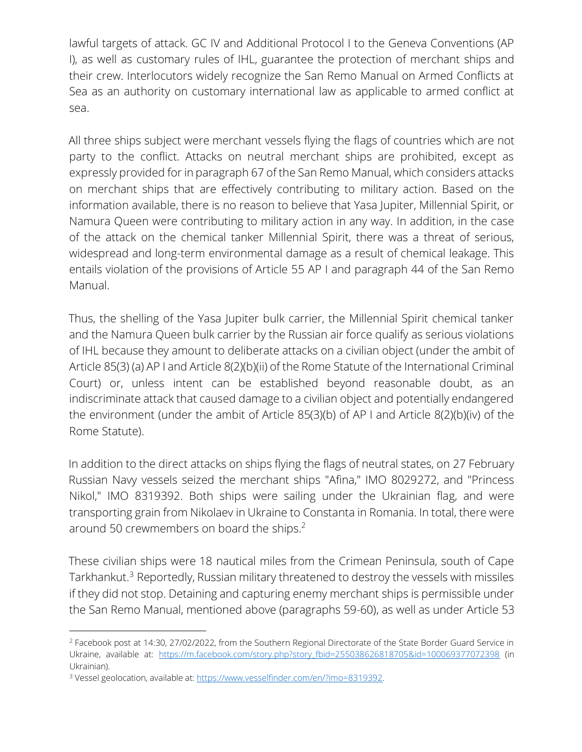lawful targets of attack. GC IV and Additional Protocol I to the Geneva Conventions (AP I), as well as customary rules of IHL, guarantee the protection of merchant ships and their crew. Interlocutors widely recognize the San Remo Manual on Armed Conflicts at Sea as an authority on customary international law as applicable to armed conflict at sea.

All three ships subject were merchant vessels flying the flags of countries which are not party to the conflict. Attacks on neutral merchant ships are prohibited, except as expressly provided for in paragraph 67 of the San Remo Manual, which considers attacks on merchant ships that are effectively contributing to military action. Based on the information available, there is no reason to believe that Yasa Jupiter, Millennial Spirit, or Namura Queen were contributing to military action in any way. In addition, in the case of the attack on the chemical tanker Millennial Spirit, there was a threat of serious, widespread and long-term environmental damage as a result of chemical leakage. This entails violation of the provisions of Article 55 AP I and paragraph 44 of the San Remo Manual.

Thus, the shelling of the Yasa Jupiter bulk carrier, the Millennial Spirit chemical tanker and the Namura Queen bulk carrier by the Russian air force qualify as serious violations of IHL because they amount to deliberate attacks on a civilian object (under the ambit of Article 85(3) (a) AP I and Article 8(2)(b)(ii) of the Rome Statute of the International Criminal Court) or, unless intent can be established beyond reasonable doubt, as an indiscriminate attack that caused damage to a civilian object and potentially endangered the environment (under the ambit of Article 85(3)(b) of AP I and Article 8(2)(b)(iv) of the Rome Statute).

In addition to the direct attacks on ships flying the flags of neutral states, on 27 February Russian Navy vessels seized the merchant ships "Afina," IMO 8029272, and "Princess Nikol," IMO 8319392. Both ships were sailing under the Ukrainian flag, and were transporting grain from Nikolaev in Ukraine to Constanta in Romania. In total, there were around 50 crewmembers on board the ships.<sup>2</sup>

These civilian ships were 18 nautical miles from the Crimean Peninsula, south of Cape Tarkhankut.<sup>3</sup> Reportedly, Russian military threatened to destroy the vessels with missiles if they did not stop. Detaining and capturing enemy merchant ships is permissible under the San Remo Manual, mentioned above (paragraphs 59-60), as well as under Article 53

<sup>2</sup> Facebook post at 14:30, 27/02/2022, from the Southern Regional Directorate of the State Border Guard Service in Ukraine, available at: https://m.facebook.com/story.php?story\_fbid=255038626818705&id=100069377072398 (in Ukrainian).

<sup>&</sup>lt;sup>3</sup> Vessel geolocation, available at: https://www.vesselfinder.com/en/?imo=8319392.